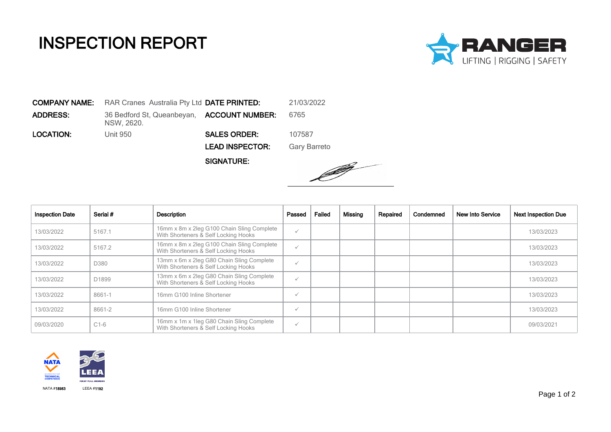## INSPECTION REPORT



COMPANY NAME: RAR Cranes Australia Pty Ltd DATE PRINTED: 21/03/2022 **ADDRESS:** 36 Bedford St, Queanbeyan, **ACCOUNT NUMBER:** 6765 NSW, 2620. LOCATION: Unit 950 SALES ORDER: 107587 LEAD INSPECTOR: Gary Barreto

SIGNATURE:



| <b>Inspection Date</b> | Serial #          | Description                                                                        | Passed       | Failed | Missing | Repaired | Condemned | New Into Service | <b>Next Inspection Due</b> |
|------------------------|-------------------|------------------------------------------------------------------------------------|--------------|--------|---------|----------|-----------|------------------|----------------------------|
| 13/03/2022             | 5167.1            | 16mm x 8m x 2leg G100 Chain Sling Complete<br>With Shorteners & Self Locking Hooks | $\checkmark$ |        |         |          |           |                  | 13/03/2023                 |
| 13/03/2022             | 5167.2            | 16mm x 8m x 2leg G100 Chain Sling Complete<br>With Shorteners & Self Locking Hooks | $\checkmark$ |        |         |          |           |                  | 13/03/2023                 |
| 13/03/2022             | D380              | 13mm x 6m x 2leg G80 Chain Sling Complete<br>With Shorteners & Self Locking Hooks  | $\checkmark$ |        |         |          |           |                  | 13/03/2023                 |
| 13/03/2022             | D <sub>1899</sub> | 13mm x 6m x 2leg G80 Chain Sling Complete<br>With Shorteners & Self Locking Hooks  |              |        |         |          |           |                  | 13/03/2023                 |
| 13/03/2022             | 8661-1            | 16mm G100 Inline Shortener                                                         | $\checkmark$ |        |         |          |           |                  | 13/03/2023                 |
| 13/03/2022             | 8661-2            | 16mm G100 Inline Shortener                                                         | $\checkmark$ |        |         |          |           |                  | 13/03/2023                 |
| 09/03/2020             | $C1-6$            | 16mm x 1m x 1leg G80 Chain Sling Complete<br>With Shorteners & Self Locking Hooks  | $\checkmark$ |        |         |          |           |                  | 09/03/2021                 |